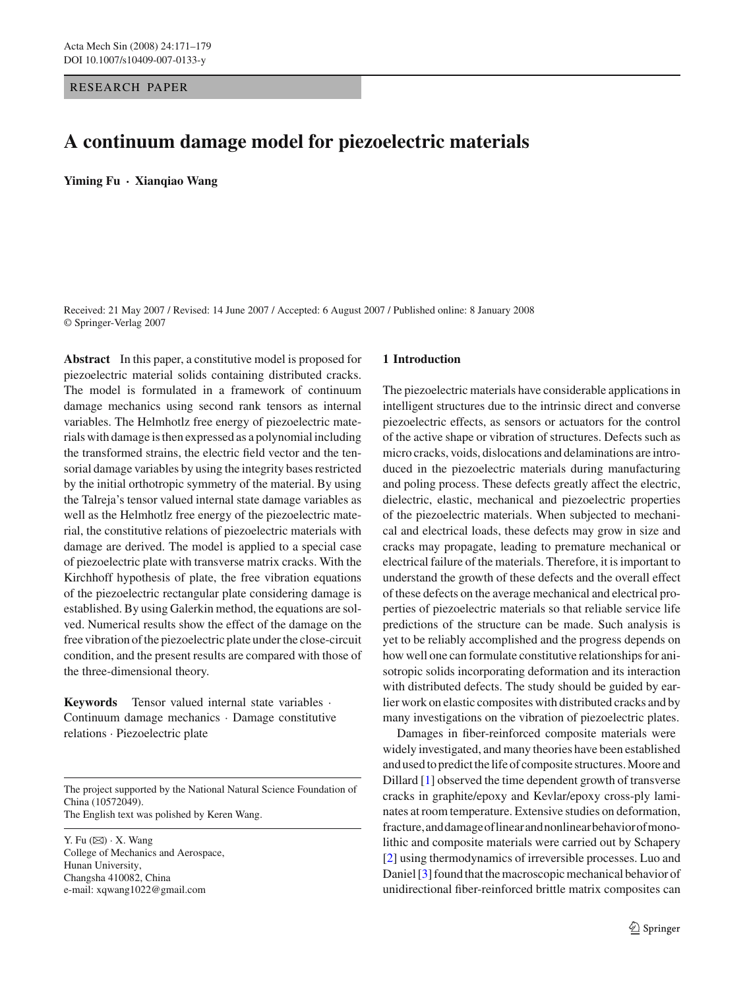# RESEARCH PAPER

# **A continuum damage model for piezoelectric materials**

**Yiming Fu · Xianqiao Wang**

Received: 21 May 2007 / Revised: 14 June 2007 / Accepted: 6 August 2007 / Published online: 8 January 2008 © Springer-Verlag 2007

**Abstract** In this paper, a constitutive model is proposed for piezoelectric material solids containing distributed cracks. The model is formulated in a framework of continuum damage mechanics using second rank tensors as internal variables. The Helmhotlz free energy of piezoelectric materials with damage is then expressed as a polynomial including the transformed strains, the electric field vector and the tensorial damage variables by using the integrity bases restricted by the initial orthotropic symmetry of the material. By using the Talreja's tensor valued internal state damage variables as well as the Helmhotlz free energy of the piezoelectric material, the constitutive relations of piezoelectric materials with damage are derived. The model is applied to a special case of piezoelectric plate with transverse matrix cracks. With the Kirchhoff hypothesis of plate, the free vibration equations of the piezoelectric rectangular plate considering damage is established. By using Galerkin method, the equations are solved. Numerical results show the effect of the damage on the free vibration of the piezoelectric plate under the close-circuit condition, and the present results are compared with those of the three-dimensional theory.

**Keywords** Tensor valued internal state variables · Continuum damage mechanics · Damage constitutive relations · Piezoelectric plate

The project supported by the National Natural Science Foundation of China (10572049). The English text was polished by Keren Wang.

Y. Fu  $(\boxtimes) \cdot X$ . Wang College of Mechanics and Aerospace, Hunan University, Changsha 410082, China e-mail: xqwang1022@gmail.com

#### **1 Introduction**

The piezoelectric materials have considerable applications in intelligent structures due to the intrinsic direct and converse piezoelectric effects, as sensors or actuators for the control of the active shape or vibration of structures. Defects such as micro cracks, voids, dislocations and delaminations are introduced in the piezoelectric materials during manufacturing and poling process. These defects greatly affect the electric, dielectric, elastic, mechanical and piezoelectric properties of the piezoelectric materials. When subjected to mechanical and electrical loads, these defects may grow in size and cracks may propagate, leading to premature mechanical or electrical failure of the materials. Therefore, it is important to understand the growth of these defects and the overall effect of these defects on the average mechanical and electrical properties of piezoelectric materials so that reliable service life predictions of the structure can be made. Such analysis is yet to be reliably accomplished and the progress depends on how well one can formulate constitutive relationships for anisotropic solids incorporating deformation and its interaction with distributed defects. The study should be guided by earlier work on elastic composites with distributed cracks and by many investigations on the vibration of piezoelectric plates.

Damages in fiber-reinforced composite materials were widely investigated, and many theories have been established and used to predict the life of composite structures. Moore and Dillard [\[1\]](#page-8-0) observed the time dependent growth of transverse cracks in graphite/epoxy and Kevlar/epoxy cross-ply laminates at room temperature. Extensive studies on deformation, fracture,anddamageoflinearandnonlinearbehaviorofmonolithic and composite materials were carried out by Schapery [\[2](#page-8-1)] using thermodynamics of irreversible processes. Luo and Daniel [\[3](#page-8-2)] found that the macroscopic mechanical behavior of unidirectional fiber-reinforced brittle matrix composites can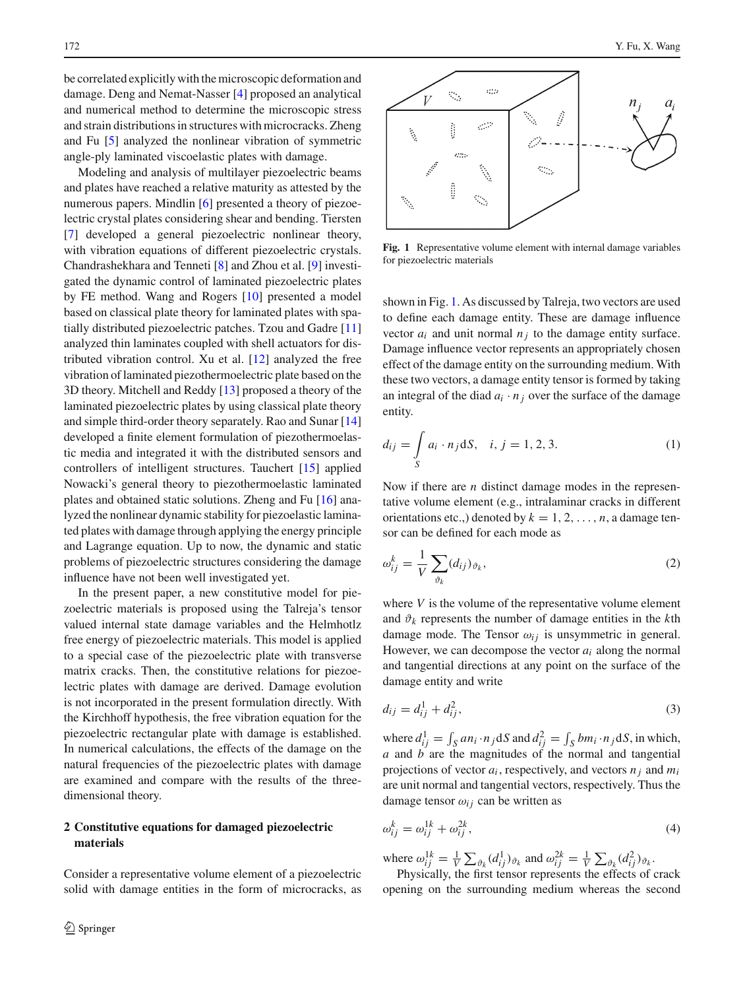be correlated explicitly with the microscopic deformation and damage. Deng and Nemat-Nasser [\[4\]](#page-8-3) proposed an analytical and numerical method to determine the microscopic stress and strain distributions in structures with microcracks. Zheng and Fu [\[5\]](#page-8-4) analyzed the nonlinear vibration of symmetric angle-ply laminated viscoelastic plates with damage.

Modeling and analysis of multilayer piezoelectric beams and plates have reached a relative maturity as attested by the numerous papers. Mindlin [\[6](#page-8-5)] presented a theory of piezoelectric crystal plates considering shear and bending. Tiersten [\[7](#page-8-6)] developed a general piezoelectric nonlinear theory, with vibration equations of different piezoelectric crystals. Chandrashekhara and Tenneti [\[8](#page-8-7)] and Zhou et al. [\[9](#page-8-8)] investigated the dynamic control of laminated piezoelectric plates by FE method. Wang and Rogers [\[10\]](#page-8-9) presented a model based on classical plate theory for laminated plates with spatially distributed piezoelectric patches. Tzou and Gadre [\[11\]](#page-8-10) analyzed thin laminates coupled with shell actuators for distributed vibration control. Xu et al. [\[12](#page-8-11)] analyzed the free vibration of laminated piezothermoelectric plate based on the 3D theory. Mitchell and Reddy [\[13](#page-8-12)] proposed a theory of the laminated piezoelectric plates by using classical plate theory and simple third-order theory separately. Rao and Sunar [\[14\]](#page-8-13) developed a finite element formulation of piezothermoelastic media and integrated it with the distributed sensors and controllers of intelligent structures. Tauchert [\[15](#page-8-14)] applied Nowacki's general theory to piezothermoelastic laminated plates and obtained static solutions. Zheng and Fu [\[16](#page-8-15)] analyzed the nonlinear dynamic stability for piezoelastic laminated plates with damage through applying the energy principle and Lagrange equation. Up to now, the dynamic and static problems of piezoelectric structures considering the damage influence have not been well investigated yet.

In the present paper, a new constitutive model for piezoelectric materials is proposed using the Talreja's tensor valued internal state damage variables and the Helmhotlz free energy of piezoelectric materials. This model is applied to a special case of the piezoelectric plate with transverse matrix cracks. Then, the constitutive relations for piezoelectric plates with damage are derived. Damage evolution is not incorporated in the present formulation directly. With the Kirchhoff hypothesis, the free vibration equation for the piezoelectric rectangular plate with damage is established. In numerical calculations, the effects of the damage on the natural frequencies of the piezoelectric plates with damage are examined and compare with the results of the threedimensional theory.

# **2 Constitutive equations for damaged piezoelectric materials**

Consider a representative volume element of a piezoelectric solid with damage entities in the form of microcracks, as



<span id="page-1-0"></span>**Fig. 1** Representative volume element with internal damage variables for piezoelectric materials

shown in Fig. [1.](#page-1-0) As discussed by Talreja, two vectors are used to define each damage entity. These are damage influence vector  $a_i$  and unit normal  $n_i$  to the damage entity surface. Damage influence vector represents an appropriately chosen effect of the damage entity on the surrounding medium. With these two vectors, a damage entity tensor is formed by taking an integral of the diad  $a_i \cdot n_j$  over the surface of the damage entity.

$$
d_{ij} = \int_{S} a_i \cdot n_j \, dS, \quad i, j = 1, 2, 3. \tag{1}
$$

Now if there are *n* distinct damage modes in the representative volume element (e.g., intralaminar cracks in different orientations etc.,) denoted by  $k = 1, 2, \ldots, n$ , a damage tensor can be defined for each mode as

$$
\omega_{ij}^k = \frac{1}{V} \sum_{\vartheta_k} (d_{ij})_{\vartheta_k},\tag{2}
$$

where *V* is the volume of the representative volume element and  $\vartheta_k$  represents the number of damage entities in the *k*th damage mode. The Tensor  $\omega_{ij}$  is unsymmetric in general. However, we can decompose the vector *ai* along the normal and tangential directions at any point on the surface of the damage entity and write

$$
d_{ij} = d_{ij}^1 + d_{ij}^2,
$$
\t(3)

where  $d_{ij}^1 = \int_S a n_i \cdot n_j dS$  and  $d_{ij}^2 = \int_S b m_i \cdot n_j dS$ , in which, *a* and *b* are the magnitudes of the normal and tangential projections of vector  $a_i$ , respectively, and vectors  $n_i$  and  $m_i$ are unit normal and tangential vectors, respectively. Thus the damage tensor  $\omega_{ij}$  can be written as

$$
\omega_{ij}^k = \omega_{ij}^{1k} + \omega_{ij}^{2k},\tag{4}
$$

where  $\omega_{ij}^{1k} = \frac{1}{V} \sum_{\vartheta_k} (d_{ij}^1)_{\vartheta_k}$  and  $\omega_{ij}^{2k} = \frac{1}{V} \sum_{\vartheta_k} (d_{ij}^2)_{\vartheta_k}$ .

Physically, the first tensor represents the effects of crack opening on the surrounding medium whereas the second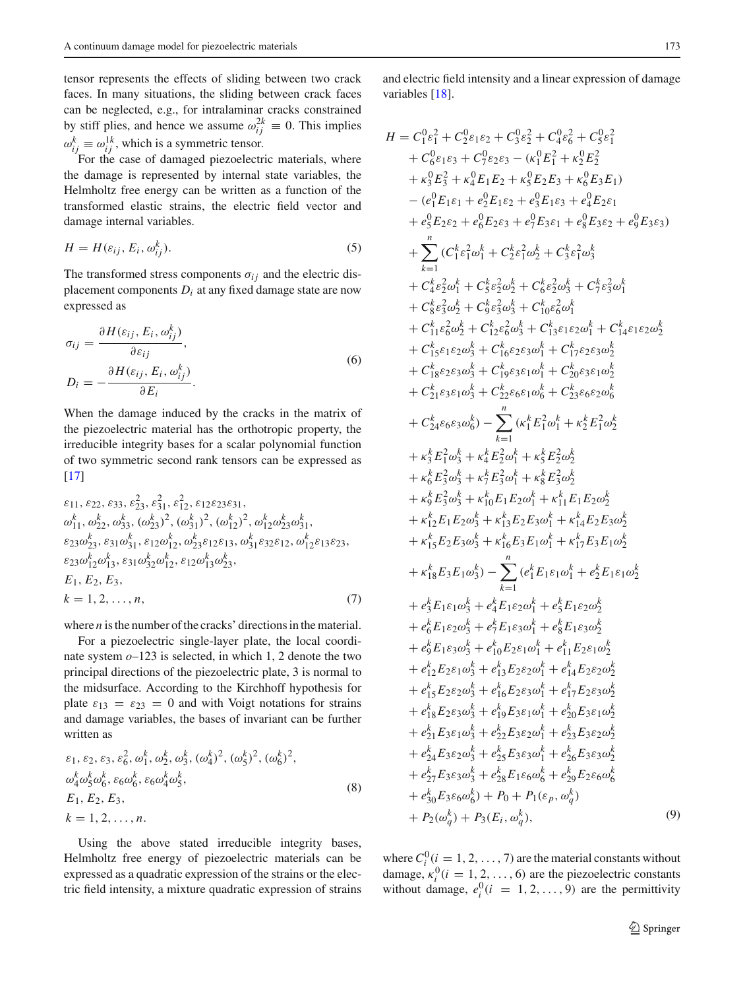tensor represents the effects of sliding between two crack faces. In many situations, the sliding between crack faces can be neglected, e.g., for intralaminar cracks constrained by stiff plies, and hence we assume  $\omega_{ij}^{2k} \equiv 0$ . This implies  $\omega_{ij}^k \equiv \omega_{ij}^{1k}$ , which is a symmetric tensor.

For the case of damaged piezoelectric materials, where the damage is represented by internal state variables, the Helmholtz free energy can be written as a function of the transformed elastic strains, the electric field vector and damage internal variables.

$$
H = H(\varepsilon_{ij}, E_i, \omega_{ij}^k). \tag{5}
$$

The transformed stress components  $\sigma_{ij}$  and the electric displacement components *Di* at any fixed damage state are now expressed as

$$
\sigma_{ij} = \frac{\partial H(\varepsilon_{ij}, E_i, \omega_{ij}^k)}{\partial \varepsilon_{ij}},
$$
  
\n
$$
D_i = -\frac{\partial H(\varepsilon_{ij}, E_i, \omega_{ij}^k)}{\partial E_i}.
$$
\n(6)

When the damage induced by the cracks in the matrix of the piezoelectric material has the orthotropic property, the irreducible integrity bases for a scalar polynomial function of two symmetric second rank tensors can be expressed as  $[17]$  $[17]$ 

$$
\varepsilon_{11}, \varepsilon_{22}, \varepsilon_{33}, \varepsilon_{23}^2, \varepsilon_{31}^2, \varepsilon_{12}^2, \varepsilon_{12}\varepsilon_{23}\varepsilon_{31}, \omega_{11}^k, \omega_{22}^k, \omega_{33}^k, (\omega_{23}^k)^2, (\omega_{31}^k)^2, (\omega_{12}^k)^2, \omega_{12}^k \omega_{23}^k \omega_{31}^k, \varepsilon_{23}\omega_{23}^k, \varepsilon_{31}\omega_{31}^k, \varepsilon_{12}\omega_{12}^k, \omega_{23}^k \varepsilon_{12}\varepsilon_{13}, \omega_{31}^k \varepsilon_{32}\varepsilon_{12}, \omega_{12}^k \varepsilon_{13}\varepsilon_{23}, \varepsilon_{23}\omega_{12}^k \omega_{13}^k, \varepsilon_{31}\omega_{32}^k \omega_{12}^k, \varepsilon_{12}\omega_{13}^k \omega_{23}^k, \nE_1, E_2, E_3, \nk = 1, 2, ..., n, \tag{7}
$$

where *n* is the number of the cracks' directions in the material.

For a piezoelectric single-layer plate, the local coordinate system *o*–123 is selected, in which 1, 2 denote the two principal directions of the piezoelectric plate, 3 is normal to the midsurface. According to the Kirchhoff hypothesis for plate  $\varepsilon_{13} = \varepsilon_{23} = 0$  and with Voigt notations for strains and damage variables, the bases of invariant can be further written as

$$
\varepsilon_1, \varepsilon_2, \varepsilon_3, \varepsilon_6^2, \omega_1^k, \omega_2^k, \omega_3^k, (\omega_4^k)^2, (\omega_5^k)^2, (\omega_6^k)^2, \omega_4^k \omega_5^k \omega_6^k, \varepsilon_6 \omega_6^k, \varepsilon_6 \omega_4^k \omega_5^k, \nE_1, E_2, E_3, \nk = 1, 2, ..., n.
$$
\n(8)

Using the above stated irreducible integrity bases, Helmholtz free energy of piezoelectric materials can be expressed as a quadratic expression of the strains or the electric field intensity, a mixture quadratic expression of strains

and electric field intensity and a linear expression of damage variables [\[18\]](#page-8-17).

$$
H = C_{1}^{0} \varepsilon_{1}^{2} + C_{2}^{0} \varepsilon_{1}^{2} \varepsilon_{2}^{2} + C_{3}^{0} \varepsilon_{2}^{2} + C_{4}^{0} \varepsilon_{6}^{2} + C_{5}^{0} \varepsilon_{1}^{2} + C_{6}^{0} \varepsilon_{1} s_{3} + C_{7}^{0} \varepsilon_{2} s_{3} - (\kappa_{1}^{0} E_{1}^{2} + \kappa_{2}^{0} E_{2}^{2} + \kappa_{3}^{0} E_{3}^{2} + \kappa_{4}^{0} E_{1} E_{2} + \kappa_{5}^{0} E_{2} E_{3} + \kappa_{6}^{0} E_{3} E_{1}) - (e_{1}^{0} E_{1} \varepsilon_{1} + e_{2}^{0} E_{1} \varepsilon_{2} + e_{3}^{0} E_{1} \varepsilon_{3} + e_{4}^{0} E_{2} \varepsilon_{1} + e_{5}^{0} E_{2} \varepsilon_{2} + e_{6}^{0} E_{2} \varepsilon_{3} + e_{5}^{0} E_{3} \varepsilon_{1} + e_{6}^{0} E_{3} \varepsilon_{2} + e_{6}^{0} E_{3} \varepsilon_{3}) + \sum_{k=1}^{n} (C_{1}^{k} \varepsilon_{1}^{2} \omega_{1}^{k} + C_{2}^{k} \varepsilon_{1}^{2} \omega_{2}^{k} + C_{5}^{k} \varepsilon_{1}^{2} \omega_{3}^{k} + C_{4}^{k} \varepsilon_{2}^{2} \omega_{1}^{k} + C_{5}^{k} \varepsilon_{2}^{2} \omega_{2}^{k} + C_{5}^{k} \varepsilon_{2}^{2} \omega_{3}^{k} + C_{7}^{k} \varepsilon_{3}^{2} \omega_{3}^{k} + C_{1}^{k} \varepsilon_{3}^{2} \omega_{2}^{k} + C_{1}^{k} \varepsilon_{2}^{2} \omega_{3}^{k} + C_{1}^{k} \varepsilon_{2}^{2} \omega_{3}^{k} + C_{1}^{k} \varepsilon_{3}^{2} \omega_{2}^{k} + C_{1}^{k} \varepsilon_{2}^{2} \omega_{3}^{k} + C_{1
$$

where  $C_i^0$  ( $i = 1, 2, ..., 7$ ) are the material constants without damage,  $\kappa_i^0$  ( $i = 1, 2, ..., 6$ ) are the piezoelectric constants without damage,  $e_i^0$  (*i* = 1, 2, ..., 9) are the permittivity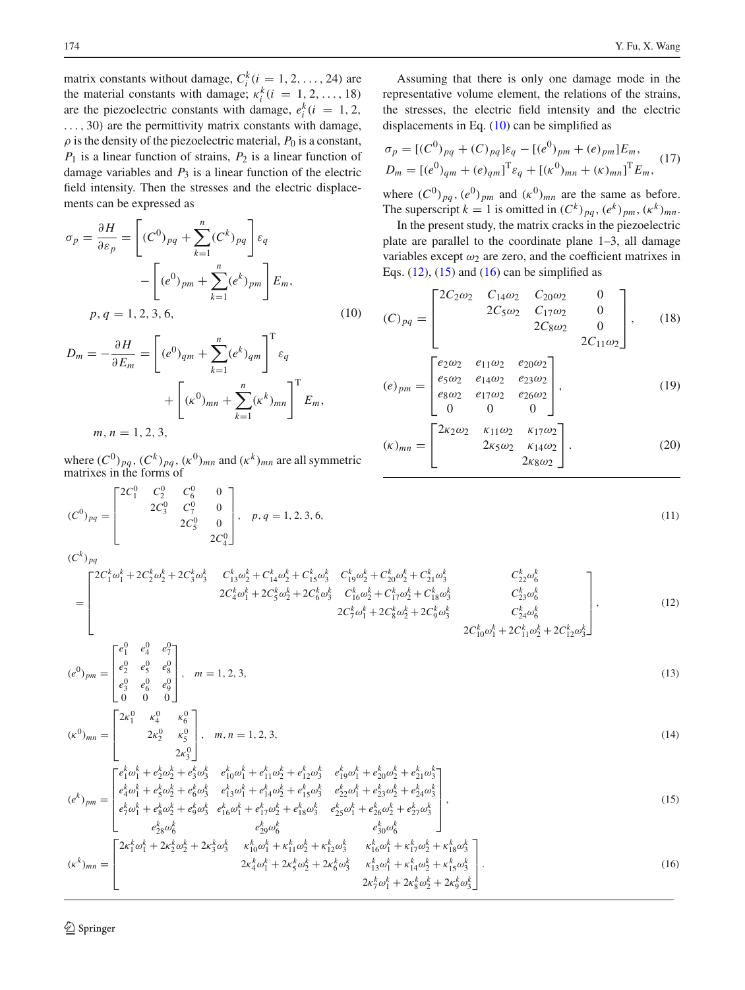matrix constants without damage,  $C_i^k$  ( $i = 1, 2, ..., 24$ ) are the material constants with damage;  $\kappa_i^k(i = 1, 2, ..., 18)$ are the piezoelectric constants with damage,  $e_i^k(i = 1, 2, ...)$ ..., 30) are the permittivity matrix constants with damage,  $\rho$  is the density of the piezoelectric material,  $P_0$  is a constant,  $P_1$  is a linear function of strains,  $P_2$  is a linear function of damage variables and  $P_3$  is a linear function of the electric field intensity. Then the stresses and the electric displacements can be expressed as

<span id="page-3-0"></span>
$$
\sigma_p = \frac{\partial H}{\partial \varepsilon_p} = \left[ (C^0)_{pq} + \sum_{k=1}^n (C^k)_{pq} \right] \varepsilon_q
$$

$$
- \left[ (e^0)_{pm} + \sum_{k=1}^n (e^k)_{pm} \right] E_m,
$$

$$
p, q = 1, 2, 3, 6,
$$
 (10)

<span id="page-3-1"></span>
$$
D_m = -\frac{\partial H}{\partial E_m} = \left[ (e^0)_{qm} + \sum_{k=1}^n (e^k)_{qm} \right]^{\mathrm{T}} \varepsilon_q
$$

$$
+ \left[ (\kappa^0)_{mn} + \sum_{k=1}^n (\kappa^k)_{mn} \right]^{\mathrm{T}} E_m,
$$

$$
m, n = 1, 2, 3,
$$

where  $(C^0)_{pq}$ ,  $(C^k)_{pq}$ ,  $(\kappa^0)_{mn}$  and  $(\kappa^k)_{mn}$  are all symmetric matrixes in the forms of

$$
(C^0)_{pq} = \begin{bmatrix} 2C_1^0 & C_2^0 & C_6^0 & 0 \\ 2C_3^0 & C_7^0 & 0 \\ 2C_5^0 & 0 & P, q = 1, 2, 3, 6, \end{bmatrix}, p, q = 1, 2, 3, 6,
$$
\n
$$
(11)
$$

Assuming that there is only one damage mode in the representative volume element, the relations of the strains, the stresses, the electric field intensity and the electric displacements in Eq. [\(10\)](#page-3-0) can be simplified as

$$
\sigma_p = [(C^0)_{pq} + (C)_{pq}] \varepsilon_q - [(e^0)_{pm} + (e)_{pm}] E_m,
$$
  
\n
$$
D_m = [(e^0)_{qm} + (e)_{qm}]^T \varepsilon_q + [( \kappa^0)_{mn} + ( \kappa )_{mn}]^T E_m,
$$
\n(17)

where  $(C^0)_{pq}$ ,  $(e^0)_{pm}$  and  $(\kappa^0)_{mn}$  are the same as before. The superscript  $k = 1$  is omitted in  $(C^k)_{pq}$ ,  $(e^k)_{pm}$ ,  $(\kappa^k)_{mn}$ .

In the present study, the matrix cracks in the piezoelectric plate are parallel to the coordinate plane 1–3, all damage variables except  $\omega_2$  are zero, and the coefficient matrixes in Eqs.  $(12)$ ,  $(15)$  and  $(16)$  can be simplified as

<span id="page-3-2"></span>
$$
(C)_{pq} = \begin{bmatrix} 2C_2\omega_2 & C_{14}\omega_2 & C_{20}\omega_2 & 0 \\ 2C_5\omega_2 & C_{17}\omega_2 & 0 \\ 2C_8\omega_2 & 0 & 2C_{11}\omega_2 \end{bmatrix}, \qquad (18)
$$

$$
(c) \qquad - \begin{bmatrix} e_2\omega_2 & e_{11}\omega_2 & e_{20}\omega_2 \\ e_5\omega_2 & e_{14}\omega_2 & e_{23}\omega_2 \end{bmatrix}
$$

$$
(e)_{pm} = \begin{bmatrix} e_5\omega_2 & e_{14}\omega_2 & e_{25}\omega_2 \\ e_8\omega_2 & e_{17}\omega_2 & e_{26}\omega_2 \\ 0 & 0 & 0 \end{bmatrix},
$$
(19)  

$$
(k)_{mn} = \begin{bmatrix} 2\kappa_2\omega_2 & \kappa_{11}\omega_2 & \kappa_{17}\omega_2 \\ 2\kappa_5\omega_2 & \kappa_{14}\omega_2 \\ 2\kappa_5\omega_2 & \kappa_{14}\omega_2 \end{bmatrix}.
$$
(20)

 $2\kappa_8\omega_2$ 

$$
\mathcal{L}^{\mathcal{L}}(\mathcal{L}^{\mathcal{L}})
$$

 $(C^k)_{pq}$ 

=  $\Gamma$ ⎢ ⎢ ⎢ ⎢ ⎣  $2C_1^k\omega_1^k + 2C_2^k\omega_2^k + 2C_3^k\omega_3^k$   $C_{13}^k\omega_2^k + C_{14}^k\omega_2^k + C_{15}^k\omega_3^k$   $C_{19}^k\omega_2^k + C_{20}^k\omega_2^k + C_{21}^k\omega_3^k$   $C_{22}^k\omega_6^k$  $2C_4^k \omega_1^k + 2C_5^k \omega_2^k + 2C_6^k \omega_3^k$   $C_{16}^k \omega_2^k + C_{17}^k \omega_2^k + C_{18}^k \omega_3^k$   $C_{23}^k \omega_6^k$  $2C_7^k \omega_1^k + 2C_8^k \omega_2^k + 2C_9^k \omega_3^k$   $C_{24}^k \omega_6^k$  $2C_{10}^k \omega_1^k + 2C_{11}^k \omega_2^k + 2C_{12}^k \omega_3^k$ 3 ⎤  $\overline{\phantom{a}}$  $\overline{\phantom{a}}$  $\overline{\phantom{a}}$  $\overline{\phantom{a}}$  $\overline{\phantom{a}}$  $(12)$  $\begin{bmatrix} e_1^0 & e_4^0 & e_7^0 \end{bmatrix}$ 

⎣

$$
(e^0)_{pm} = \begin{bmatrix} e_2^0 & e_5^0 & e_8^0 \\ e_3^0 & e_6^0 & e_9^0 \\ 0 & 0 & 0 \end{bmatrix}, \quad m = 1, 2, 3,
$$
 (13)

$$
(\kappa^{0})_{mn} = \begin{bmatrix} 2\kappa_1^{0} & \kappa_4^{0} & \kappa_6^{0} \\ 2\kappa_2^{0} & \kappa_5^{0} \\ 2\kappa_3^{0} & \end{bmatrix}, \quad m, n = 1, 2, 3,
$$
 (14)

$$
(e^{k})_{pm} = \begin{bmatrix} e_{1}^{k} \omega_{1}^{k} + e_{2}^{k} \omega_{2}^{k} + e_{3}^{k} \omega_{3}^{k} & e_{10}^{k} \omega_{1}^{k} + e_{11}^{k} \omega_{2}^{k} + e_{12}^{k} \omega_{3}^{k} & e_{19}^{k} \omega_{1}^{k} + e_{20}^{k} \omega_{2}^{k} + e_{21}^{k} \omega_{3}^{k} \\ e_{4}^{k} \omega_{1}^{k} + e_{5}^{k} \omega_{2}^{k} + e_{6}^{k} \omega_{3}^{k} & e_{13}^{k} \omega_{1}^{k} + e_{14}^{k} \omega_{2}^{k} + e_{15}^{k} \omega_{3}^{k} & e_{22}^{k} \omega_{1}^{k} + e_{23}^{k} \omega_{2}^{k} + e_{24}^{k} \omega_{3}^{k} \\ e_{5}^{k} \omega_{1}^{k} + e_{8}^{k} \omega_{2}^{k} + e_{9}^{k} \omega_{3}^{k} & e_{16}^{k} \omega_{1}^{k} + e_{17}^{k} \omega_{2}^{k} + e_{18}^{k} \omega_{3}^{k} & e_{25}^{k} \omega_{1}^{k} + e_{26}^{k} \omega_{2}^{k} + e_{27}^{k} \omega_{3}^{k} \\ e_{28}^{k} \omega_{6}^{k} & e_{29}^{k} \omega_{6}^{k} & e_{30}^{k} \omega_{6}^{k} \end{bmatrix},
$$
\n(15)

$$
(\kappa^{k})_{mn} = \begin{bmatrix} \n\frac{2\kappa_{1}^{k}\omega_{1}^{k} + 2\kappa_{2}^{k}\omega_{2}^{k} + 2\kappa_{3}^{k}\omega_{3}^{k} & \kappa_{10}^{k}\omega_{1}^{k} + \kappa_{11}^{k}\omega_{2}^{k} + \kappa_{12}^{k}\omega_{3}^{k} & \kappa_{16}^{k}\omega_{1}^{k} + \kappa_{17}^{k}\omega_{2}^{k} + \kappa_{18}^{k}\omega_{3}^{k} \\
2\kappa_{4}^{k}\omega_{1}^{k} + 2\kappa_{5}^{k}\omega_{2}^{k} + 2\kappa_{5}^{k}\omega_{3}^{k} & \kappa_{13}^{k}\omega_{1}^{k} + \kappa_{14}^{k}\omega_{2}^{k} + \kappa_{15}^{k}\omega_{3}^{k} \\
2\kappa_{7}^{k}\omega_{1}^{k} + 2\kappa_{8}^{k}\omega_{2}^{k} + 2\kappa_{9}^{k}\omega_{2}^{k} + 2\kappa_{9}^{k}\omega_{3}^{k} \n\end{bmatrix} . \n(16)
$$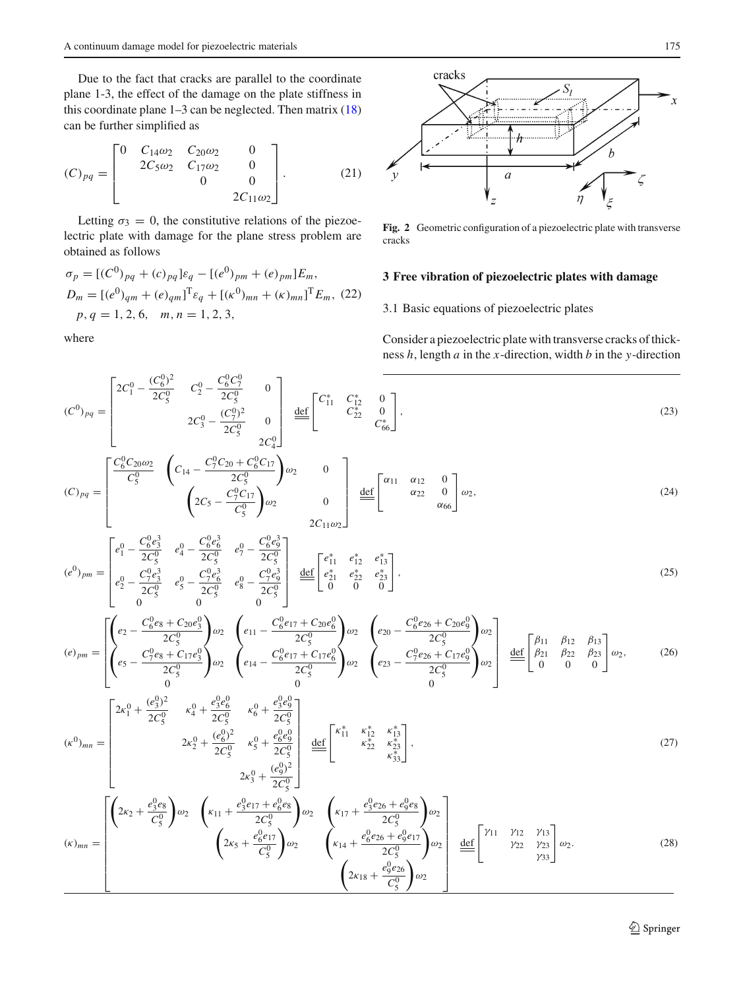Due to the fact that cracks are parallel to the coordinate plane 1-3, the effect of the damage on the plate stiffness in this coordinate plane  $1-3$  can be neglected. Then matrix  $(18)$ can be further simplified as

$$
(C)_{pq} = \begin{bmatrix} 0 & C_{14}\omega_2 & C_{20}\omega_2 & 0 \\ 2C_5\omega_2 & C_{17}\omega_2 & 0 \\ 0 & 0 & 0 \\ 2C_{11}\omega_2 \end{bmatrix} .
$$
 (21)

Letting  $\sigma_3 = 0$ , the constitutive relations of the piezoelectric plate with damage for the plane stress problem are obtained as follows

<span id="page-4-1"></span>
$$
\sigma_p = [(C^0)_{pq} + (c)_{pq}] \varepsilon_q - [(e^0)_{pm} + (e)_{pm}] E_m,
$$
  
\n
$$
D_m = [(e^0)_{qm} + (e)_{qm}]^T \varepsilon_q + [(k^0)_{mn} + (k)_{mn}]^T E_m, (22)
$$
  
\n
$$
p, q = 1, 2, 6, m, n = 1, 2, 3,
$$

 $C_2^0 - \frac{C_6^0 C_7^0}{2C_5^0}$ 

 $2C_3^0 - \frac{(C_7^0)^2}{2C_0^0}$  $2C_5^0$ 

 $\boldsymbol{0}$ 

⎤

 $\begin{array}{c} \begin{array}{c} \begin{array}{c} \begin{array}{c} \end{array} \\ \begin{array}{c} \end{array} \\ \begin{array}{c} \end{array} \\ \begin{array}{c} \end{array} \end{array} \end{array} \end{array}$ def  $\sqrt{ }$  $\mathbf{L}$ 

 $\mathbf{0}$ 

where

 $(C^0)_{pq} =$ 

 $\Gamma$ 

 $2C_1^0 - \frac{(C_6^0)^2}{2C_0^0}$  $2C_5^0$ 

 $\frac{1}{1}$ 



<span id="page-4-0"></span>**Fig. 2** Geometric configuration of a piezoelectric plate with transverse cracks

#### **3 Free vibration of piezoelectric plates with damage**

3.1 Basic equations of piezoelectric plates

Consider a piezoelectric plate with transverse cracks of thickness *h*, length *a* in the *x*-direction, width *b* in the *y*-direction

$$
\Bigg],\tag{23}
$$

$$
(C)_{pq} = \begin{bmatrix} \frac{C_6^0 C_{20} \omega_2}{C_5^0} & \left(C_{14} - \frac{C_7^0 C_{20} + C_6^0 C_{17}}{2C_5^0}\right) \omega_2 & 0\\ \left(2C_5 - \frac{C_7^0 C_{17}}{C_5^0}\right) \omega_2 & 0\\ 2C_{11} \omega_2 & 0\\ 0 & 2C_{11} \omega_2 \end{bmatrix} \stackrel{\text{def}}{=} \begin{bmatrix} \alpha_{11} & \alpha_{12} & 0\\ \alpha_{22} & 0\\ \alpha_{66} & \alpha_{66} \end{bmatrix} \omega_2, \tag{24}
$$

 $\begin{array}{ccc} C_{11}^* & C_{12}^* & 0 \ & C_{22}^* & 0 \ & & C_{66}^* \end{array}$ 

$$
(e^{0})_{pm} = \begin{bmatrix} e_{1}^{0} - \frac{C_{6}^{0}e_{3}^{3}}{2C_{5}^{0}} & e_{4}^{0} - \frac{C_{6}^{0}e_{6}^{3}}{2C_{5}^{0}} & e_{7}^{0} - \frac{C_{6}^{0}e_{9}^{3}}{2C_{5}^{0}}\\ e_{2}^{0} - \frac{C_{7}^{0}e_{3}^{3}}{2C_{5}^{0}} & e_{5}^{0} - \frac{C_{7}^{0}e_{6}^{3}}{2C_{5}^{0}} & e_{8}^{0} - \frac{C_{7}^{0}e_{9}^{3}}{2C_{5}^{0}} \end{bmatrix} \xrightarrow{def} \begin{bmatrix} e_{11}^{*} & e_{12}^{*} & e_{13}^{*}\\ e_{21}^{*} & e_{22}^{*} & e_{23}^{*}\\ 0 & 0 & 0 \end{bmatrix},
$$
\n
$$
(25)
$$

$$
(e)_{pm} = \begin{bmatrix} \left( e_2 - \frac{C_6^0 e_8 + C_{20} e_3^0}{2C_5^0} \right) \omega_2 & \left( e_{11} - \frac{C_6^0 e_{17} + C_{20} e_6^0}{2C_5^0} \right) \omega_2 & \left( e_{20} - \frac{C_6^0 e_{26} + C_{20} e_9^0}{2C_5^0} \right) \omega_2 \\ \left( e_5 - \frac{C_7^0 e_8 + C_{17} e_3^0}{2C_5^0} \right) \omega_2 & \left( e_{14} - \frac{C_6^0 e_{17} + C_{17} e_6^0}{2C_5^0} \right) \omega_2 & \left( e_{23} - \frac{C_7^0 e_{26} + C_{17} e_9^0}{2C_5^0} \right) \omega_2 \end{bmatrix} \xrightarrow{\text{def}} \begin{bmatrix} \beta_{11} & \beta_{12} & \beta_{13} \\ \beta_{21} & \beta_{22} & \beta_{23} \\ 0 & 0 & 0 \end{bmatrix} \omega_2, \tag{26}
$$

$$
(\kappa^{0})_{mn} = \begin{bmatrix} 2\kappa_{1}^{0} + \frac{(e_{3}^{0})^{2}}{2C_{5}^{0}} & \kappa_{4}^{0} + \frac{e_{3}^{0}e_{6}^{0}}{2C_{5}^{0}} & \kappa_{6}^{0} + \frac{e_{3}^{0}e_{9}^{0}}{2C_{5}^{0}} \\ 2\kappa_{2}^{0} + \frac{(e_{6}^{0})^{2}}{2C_{5}^{0}} & \kappa_{5}^{0} + \frac{e_{6}^{0}e_{9}^{0}}{2C_{5}^{0}} \\ 2\kappa_{3}^{0} + \frac{(e_{3}^{0})^{2}}{2C_{5}^{0}} \end{bmatrix} \xrightarrow{\text{def}} \begin{bmatrix} \kappa_{11}^{*} & \kappa_{12}^{*} & \kappa_{13}^{*} \\ \kappa_{22}^{*} & \kappa_{23}^{*} \\ \kappa_{33}^{*} \end{bmatrix},
$$
\n
$$
(27)
$$

$$
(\kappa)_{mn} = \begin{bmatrix} \left(2\kappa_2 + \frac{e_3^0 e_8}{C_5^0}\right) \omega_2 & \left(\kappa_{11} + \frac{e_3^0 e_{17} + e_6^0 e_8}{2C_5^0}\right) \omega_2 & \left(\kappa_{17} + \frac{e_3^0 e_{26} + e_9^0 e_8}{2C_5^0}\right) \omega_2 \\ \left(2\kappa_5 + \frac{e_6^0 e_{17}}{C_5^0}\right) \omega_2 & \left(\kappa_{14} + \frac{e_6^0 e_{26} + e_9^0 e_{17}}{2C_5^0}\right) \omega_2 \\ \left(2\kappa_{18} + \frac{e_9^0 e_{26}}{C_5^0}\right) \omega_2 & \left(2\kappa_{18} + \frac{e_9^0 e_{26}}{C_5^0}\right) \omega_2 \end{bmatrix} \xrightarrow{\underline{\text{def}}}\begin{bmatrix} \gamma_{11} & \gamma_{12} & \gamma_{13} \\ \gamma_{22} & \gamma_{23} \\ \gamma_{33} \end{bmatrix} \omega_2. \tag{28}
$$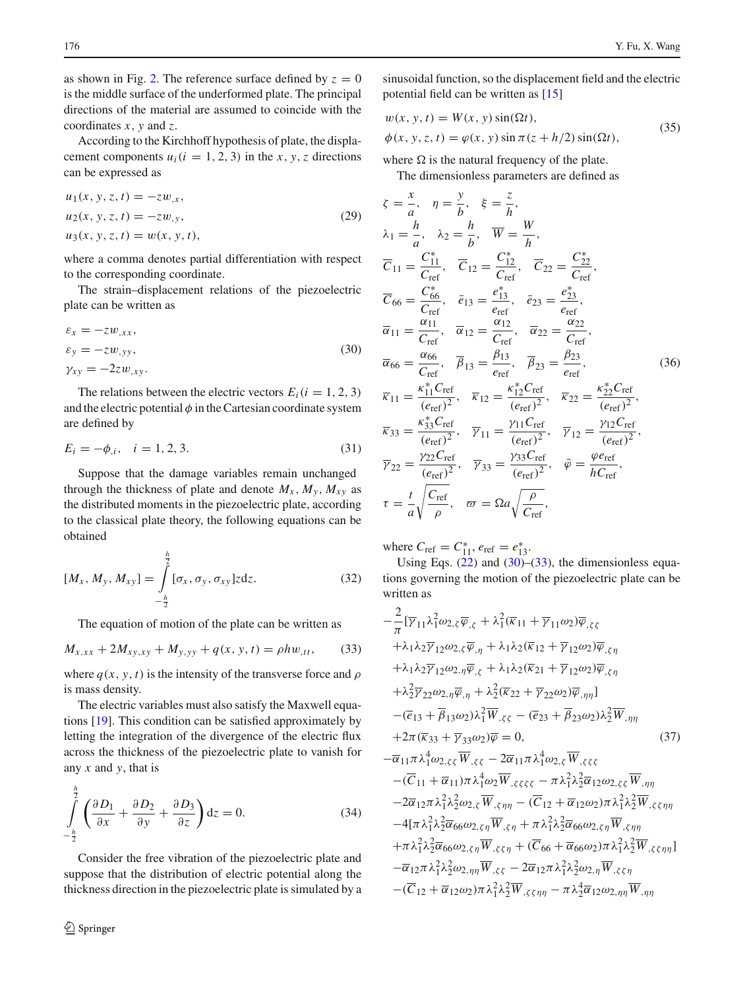as shown in Fig. [2.](#page-4-0) The reference surface defined by  $z = 0$ is the middle surface of the underformed plate. The principal directions of the material are assumed to coincide with the coordinates *x*, *y* and *z*.

According to the Kirchhoff hypothesis of plate, the displacement components  $u_i$  ( $i = 1, 2, 3$ ) in the *x*, *y*, *z* directions can be expressed as

$$
u_1(x, y, z, t) = -zw_x,
$$
  
\n
$$
u_2(x, y, z, t) = -zw_y,
$$
  
\n
$$
u_3(x, y, z, t) = w(x, y, t),
$$
  
\n(29)

where a comma denotes partial differentiation with respect to the corresponding coordinate.

The strain–displacement relations of the piezoelectric plate can be written as

<span id="page-5-0"></span>
$$
\varepsilon_x = -zw_{,xx},
$$
  
\n
$$
\varepsilon_y = -zw_{,yy},
$$
  
\n
$$
\gamma_{xy} = -2zw_{,xy}.
$$
\n(30)

The relations between the electric vectors  $E_i(i = 1, 2, 3)$ and the electric potential  $\phi$  in the Cartesian coordinate system are defined by

$$
E_i = -\phi_{,i}, \quad i = 1, 2, 3. \tag{31}
$$

Suppose that the damage variables remain unchanged through the thickness of plate and denote  $M_x$ ,  $M_y$ ,  $M_{xy}$  as the distributed moments in the piezoelectric plate, according to the classical plate theory, the following equations can be obtained

$$
[M_x, M_y, M_{xy}] = \int_{-\frac{h}{2}}^{\frac{h}{2}} [\sigma_x, \sigma_y, \sigma_{xy}] z dz.
$$
 (32)

The equation of motion of the plate can be written as

<span id="page-5-1"></span>
$$
M_{x,xx} + 2M_{xy,xy} + M_{y,yy} + q(x, y, t) = \rho h w_{,tt},
$$
 (33)

where  $q(x, y, t)$  is the intensity of the transverse force and  $\rho$ is mass density.

The electric variables must also satisfy the Maxwell equations [\[19](#page-8-18)]. This condition can be satisfied approximately by letting the integration of the divergence of the electric flux across the thickness of the piezoelectric plate to vanish for any *x* and *y*, that is

<span id="page-5-2"></span>
$$
\int_{-\frac{b}{2}}^{\frac{a}{2}} \left( \frac{\partial D_1}{\partial x} + \frac{\partial D_2}{\partial y} + \frac{\partial D_3}{\partial z} \right) dz = 0.
$$
 (34)

Consider the free vibration of the piezoelectric plate and suppose that the distribution of electric potential along the thickness direction in the piezoelectric plate is simulated by a

*h*

sinusoidal function, so the displacement field and the electric potential field can be written as [\[15\]](#page-8-14)

<span id="page-5-3"></span>
$$
w(x, y, t) = W(x, y) \sin(\Omega t),
$$
  
\n
$$
\phi(x, y, z, t) = \varphi(x, y) \sin \pi (z + h/2) \sin(\Omega t),
$$
\n(35)

where  $\Omega$  is the natural frequency of the plate.

The dimensionless parameters are defined as

$$
\zeta = \frac{x}{a}, \quad \eta = \frac{y}{b}, \quad \xi = \frac{z}{h},
$$
\n
$$
\lambda_1 = \frac{h}{a}, \quad \lambda_2 = \frac{h}{b}, \quad \overline{W} = \frac{W}{h},
$$
\n
$$
\overline{C}_{11} = \frac{C_{11}^*}{C_{ref}}, \quad \overline{C}_{12} = \frac{C_{12}^*}{C_{ref}}, \quad \overline{C}_{22} = \frac{C_{22}^*}{C_{ref}},
$$
\n
$$
\overline{C}_{66} = \frac{C_{66}^*}{C_{ref}}, \quad \overline{e}_{13} = \frac{e_{13}^*}{e_{ref}}, \quad \overline{e}_{23} = \frac{e_{23}^*}{e_{ref}},
$$
\n
$$
\overline{\alpha}_{11} = \frac{\alpha_{11}}{C_{ref}}, \quad \overline{\alpha}_{12} = \frac{\alpha_{12}}{C_{ref}}, \quad \overline{\alpha}_{22} = \frac{\alpha_{22}}{C_{ref}},
$$
\n
$$
\overline{\alpha}_{66} = \frac{\alpha_{66}}{C_{ref}}, \quad \overline{\beta}_{13} = \frac{\beta_{13}}{e_{ref}}, \quad \overline{\beta}_{23} = \frac{\beta_{23}}{e_{ref}},
$$
\n
$$
\overline{\kappa}_{11} = \frac{\kappa_{11}^* C_{ref}}{(e_{ref})^2}, \quad \overline{\kappa}_{12} = \frac{\kappa_{12}^* C_{ref}}{(e_{ref})^2}, \quad \overline{\kappa}_{22} = \frac{\kappa_{22}^* C_{ref}}{(e_{ref})^2},
$$
\n
$$
\overline{\kappa}_{33} = \frac{\kappa_{33}^* C_{ref}}{(e_{ref})^2}, \quad \overline{\gamma}_{11} = \frac{\gamma_{11} C_{ref}}{e_{ref}^2}, \quad \overline{\gamma}_{12} = \frac{\gamma_{12} C_{ref}}{(e_{ref})^2},
$$
\n
$$
\overline{\gamma}_{22} = \frac{\gamma_{22} C_{ref}}{(e_{ref})^2}, \quad \overline{\gamma}_{33} = \frac{\gamma_{33} C_{ref}}{(e_{ref})^2}, \quad \overline{\varphi} = \frac{\varphi_{ref}}{h C_{ref}},
$$
\n
$$
\tau = \frac{t}{a
$$

where  $C_{\text{ref}} = C_{11}^*$ ,  $e_{\text{ref}} = e_{13}^*$ .

Using Eqs.  $(22)$  and  $(30)$ – $(33)$ , the dimensionless equations governing the motion of the piezoelectric plate can be written as

<span id="page-5-4"></span>
$$
-\frac{2}{\pi} [\overline{\gamma}_{11} \lambda_1^2 \omega_{2,\zeta} \overline{\varphi}_{,\zeta} + \lambda_1^2 (\overline{\kappa}_{11} + \overline{\gamma}_{11} \omega_{2}) \overline{\varphi}_{,\zeta \zeta} + \lambda_1 \lambda_2 \overline{\gamma}_{12} \omega_{2,\zeta} \overline{\varphi}_{,\eta} + \lambda_1 \lambda_2 (\overline{\kappa}_{12} + \overline{\gamma}_{12} \omega_{2}) \overline{\varphi}_{,\zeta \eta} + \lambda_1 \lambda_2 \overline{\gamma}_{12} \omega_{2,\eta} \overline{\varphi}_{,\zeta} + \lambda_1 \lambda_2 (\overline{\kappa}_{21} + \overline{\gamma}_{12} \omega_{2}) \overline{\varphi}_{,\zeta \eta} + \lambda_2^2 \overline{\gamma}_{22} \omega_{2,\eta} \overline{\varphi}_{,\eta} + \lambda_2^2 (\overline{\kappa}_{22} + \overline{\gamma}_{22} \omega_{2}) \overline{\varphi}_{,\eta \eta} - (\overline{e}_{13} + \overline{\beta}_{13} \omega_{2}) \lambda_1^2 \overline{W}_{,\zeta \zeta} - (\overline{e}_{23} + \overline{\beta}_{23} \omega_{2}) \lambda_2^2 \overline{W}_{,\eta \eta} + 2\pi (\overline{\kappa}_{33} + \overline{\gamma}_{33} \omega_{2}) \overline{\varphi} = 0, \qquad (37) - \overline{\alpha}_{11} \pi \lambda_1^4 \omega_{2,\zeta \zeta} \overline{W}_{,\zeta \zeta} - 2 \overline{\alpha}_{11} \pi \lambda_1^4 \omega_{2,\zeta} \overline{W}_{,\zeta \zeta \zeta} - (\overline{C}_{11} + \overline{\alpha}_{11}) \pi \lambda_1^4 \omega_{2} \overline{W}_{,\zeta \zeta \zeta \zeta} - \pi \lambda_1^2 \lambda_2^2 \overline{\alpha}_{12} \omega_{2,\zeta \zeta} \overline{W}_{,\eta \eta} - 2 \overline{\alpha}_{12} \pi \lambda_1^2 \lambda_2^2 \omega_{2,\zeta} \overline{W}_{,\zeta \eta \eta} - (\overline{C}_{12} + \overline{\alpha}_{12} \omega_{2}) \pi \lambda_1^2 \lambda_2^2 \overline{W}_{,\
$$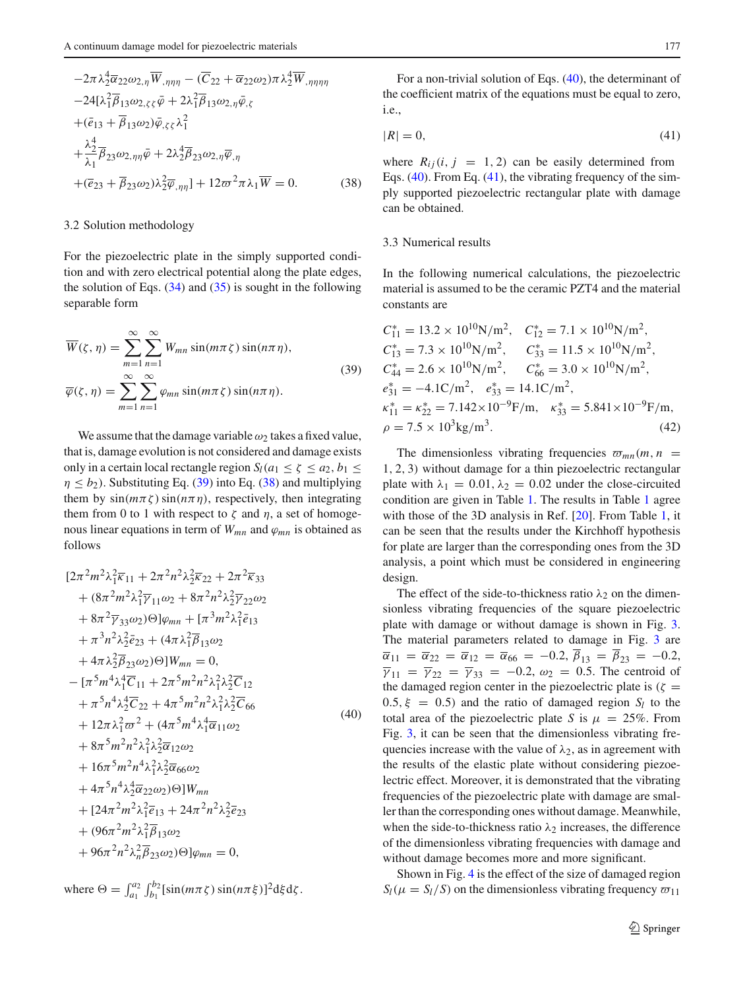$$
-2\pi \lambda_2^4 \overline{\alpha}_{22} \omega_{2,\eta} \overline{W}_{,\eta\eta\eta} - (\overline{C}_{22} + \overline{\alpha}_{22} \omega_2) \pi \lambda_2^4 \overline{W}_{,\eta\eta\eta\eta} -24[\lambda_1^2 \overline{\beta}_{13} \omega_{2,\zeta\zeta} \overline{\varphi} + 2\lambda_1^2 \overline{\beta}_{13} \omega_{2,\eta} \overline{\varphi}_{,\zeta} +(\overline{e}_{13} + \overline{\beta}_{13} \omega_2) \overline{\varphi}_{,\zeta\zeta} \lambda_1^2 + \frac{\lambda_2^4}{\lambda_1} \overline{\beta}_{23} \omega_{2,\eta\eta} \overline{\varphi} + 2\lambda_2^4 \overline{\beta}_{23} \omega_{2,\eta} \overline{\varphi}_{,\eta} +(\overline{e}_{23} + \overline{\beta}_{23} \omega_2) \lambda_2^2 \overline{\varphi}_{,\eta\eta} + 12\varpi^2 \pi \lambda_1 \overline{W} = 0.
$$
 (38)

## 3.2 Solution methodology

For the piezoelectric plate in the simply supported condition and with zero electrical potential along the plate edges, the solution of Eqs.  $(34)$  and  $(35)$  is sought in the following separable form

<span id="page-6-0"></span>
$$
\overline{W}(\zeta, \eta) = \sum_{m=1}^{\infty} \sum_{n=1}^{\infty} W_{mn} \sin(m\pi \zeta) \sin(n\pi \eta),
$$
  

$$
\overline{\varphi}(\zeta, \eta) = \sum_{m=1}^{\infty} \sum_{n=1}^{\infty} \varphi_{mn} \sin(m\pi \zeta) \sin(n\pi \eta).
$$
 (39)

We assume that the damage variable  $\omega_2$  takes a fixed value, that is, damage evolution is not considered and damage exists only in a certain local rectangle region  $S_l(a_1 \leq \zeta \leq a_2, b_1 \leq \zeta \leq a_2)$  $\eta \leq b_2$ ). Substituting Eq. [\(39\)](#page-6-0) into Eq. [\(38\)](#page-5-4) and multiplying them by  $sin(m\pi\zeta)sin(n\pi\eta)$ , respectively, then integrating them from 0 to 1 with respect to  $\zeta$  and  $\eta$ , a set of homogenous linear equations in term of  $W_{mn}$  and  $\varphi_{mn}$  is obtained as follows

<span id="page-6-1"></span>
$$
[2\pi^{2}m^{2}\lambda_{1}^{2}\overline{\kappa}_{11} + 2\pi^{2}n^{2}\lambda_{2}^{2}\overline{\kappa}_{22} + 2\pi^{2}\overline{\kappa}_{33} + (8\pi^{2}m^{2}\lambda_{1}^{2}\overline{\gamma}_{11}\omega_{2} + 8\pi^{2}n^{2}\lambda_{2}^{2}\overline{\gamma}_{22}\omega_{2} + 8\pi^{2}\overline{\gamma}_{33}\omega_{2})\Theta]\varphi_{mn} + [\pi^{3}m^{2}\lambda_{1}^{2}\overline{e}_{13} + \pi^{3}n^{2}\lambda_{2}^{2}\overline{e}_{23} + (4\pi\lambda_{1}^{2}\overline{\beta}_{13}\omega_{2} + 4\pi\lambda_{2}^{2}\overline{\beta}_{23}\omega_{2})\Theta]W_{mn} = 0, - [\pi^{5}m^{4}\lambda_{1}^{4}\overline{C}_{11} + 2\pi^{5}m^{2}n^{2}\lambda_{1}^{2}\lambda_{2}^{2}\overline{C}_{12} + \pi^{5}n^{4}\lambda_{2}^{4}\overline{C}_{22} + 4\pi^{5}m^{2}n^{2}\lambda_{1}^{2}\lambda_{2}^{2}\overline{C}_{66} + 12\pi\lambda_{1}^{2}\overline{\omega}^{2} + (4\pi^{5}m^{4}\lambda_{1}^{4}\overline{\alpha}_{11}\omega_{2} + 8\pi^{5}m^{2}n^{2}\lambda_{1}^{2}\lambda_{2}^{2}\overline{\alpha}_{12}\omega_{2} + 16\pi^{5}m^{2}n^{4}\lambda_{1}^{2}\lambda_{2}^{2}\overline{\alpha}_{6}\omega_{2} + 4\pi^{5}n^{4}\lambda_{2}^{4}\overline{\alpha}_{22}\omega_{2})\Theta]W_{mn} + [24\pi^{2}m^{2}\lambda_{1}^{2}\overline{e}_{13} + 24\pi^{2}n^{2}\lambda_{2}^{2}\overline{e}_{23} + (96\pi^{2}m^{2}\lambda_{1}^{2}\overline{\beta}_{13}\omega_{2} + 96\pi^{2}n^{2}\lambda_{1}^{2}\overline{\beta}_{23}\omega_{2})\Theta]\varphi_{mn} = 0,
$$

where 
$$
\Theta = \int_{a_1}^{a_2} \int_{b_1}^{b_2} [\sin(m\pi \zeta) \sin(n\pi \zeta)]^2 d\xi d\zeta
$$
.

For a non-trivial solution of Eqs. [\(40\)](#page-6-1), the determinant of the coefficient matrix of the equations must be equal to zero, i.e.,

<span id="page-6-2"></span>
$$
|R| = 0,\t\t(41)
$$

where  $R_{ij}$ (*i*, *j* = 1, 2) can be easily determined from Eqs. [\(40\)](#page-6-1). From Eq. [\(41\)](#page-6-2), the vibrating frequency of the simply supported piezoelectric rectangular plate with damage can be obtained.

## 3.3 Numerical results

In the following numerical calculations, the piezoelectric material is assumed to be the ceramic PZT4 and the material constants are

$$
C_{11}^{*} = 13.2 \times 10^{10} \text{N/m}^2, \quad C_{12}^{*} = 7.1 \times 10^{10} \text{N/m}^2,
$$
  
\n
$$
C_{13}^{*} = 7.3 \times 10^{10} \text{N/m}^2, \quad C_{33}^{*} = 11.5 \times 10^{10} \text{N/m}^2,
$$
  
\n
$$
C_{44}^{*} = 2.6 \times 10^{10} \text{N/m}^2, \quad C_{66}^{*} = 3.0 \times 10^{10} \text{N/m}^2,
$$
  
\n
$$
e_{31}^{*} = -4.1 \text{C/m}^2, \quad e_{33}^{*} = 14.1 \text{C/m}^2,
$$
  
\n
$$
\kappa_{11}^{*} = \kappa_{22}^{*} = 7.142 \times 10^{-9} \text{F/m}, \quad \kappa_{33}^{*} = 5.841 \times 10^{-9} \text{F/m},
$$
  
\n
$$
\rho = 7.5 \times 10^{3} \text{kg/m}^3.
$$
  
\n(42)

The dimensionless vibrating frequencies  $\varpi_{mn}(m, n)$  = 1, 2, 3) without damage for a thin piezoelectric rectangular plate with  $\lambda_1 = 0.01, \lambda_2 = 0.02$  under the close-circuited condition are given in Table [1.](#page-7-0) The results in Table [1](#page-7-0) agree with those of the 3D analysis in Ref. [\[20](#page-8-19)]. From Table [1,](#page-7-0) it can be seen that the results under the Kirchhoff hypothesis for plate are larger than the corresponding ones from the 3D analysis, a point which must be considered in engineering design.

The effect of the side-to-thickness ratio  $\lambda_2$  on the dimensionless vibrating frequencies of the square piezoelectric plate with damage or without damage is shown in Fig. [3.](#page-7-1) The material parameters related to damage in Fig. [3](#page-7-1) are  $\overline{\alpha}_{11} = \overline{\alpha}_{22} = \overline{\alpha}_{12} = \overline{\alpha}_{66} = -0.2, \overline{\beta}_{13} = \overline{\beta}_{23} = -0.2,$  $\overline{\gamma}_{11} = \overline{\gamma}_{22} = \overline{\gamma}_{33} = -0.2$ ,  $\omega_2 = 0.5$ . The centroid of the damaged region center in the piezoelectric plate is  $(\zeta =$  $0.5, \xi = 0.5$  and the ratio of damaged region  $S_l$  to the total area of the piezoelectric plate *S* is  $\mu = 25\%$ . From Fig. [3,](#page-7-1) it can be seen that the dimensionless vibrating frequencies increase with the value of  $\lambda_2$ , as in agreement with the results of the elastic plate without considering piezoelectric effect. Moreover, it is demonstrated that the vibrating frequencies of the piezoelectric plate with damage are smaller than the corresponding ones without damage. Meanwhile, when the side-to-thickness ratio  $\lambda_2$  increases, the difference of the dimensionless vibrating frequencies with damage and without damage becomes more and more significant.

Shown in Fig. [4](#page-7-2) is the effect of the size of damaged region  $S_l(\mu = S_l/S)$  on the dimensionless vibrating frequency  $\varpi_{11}$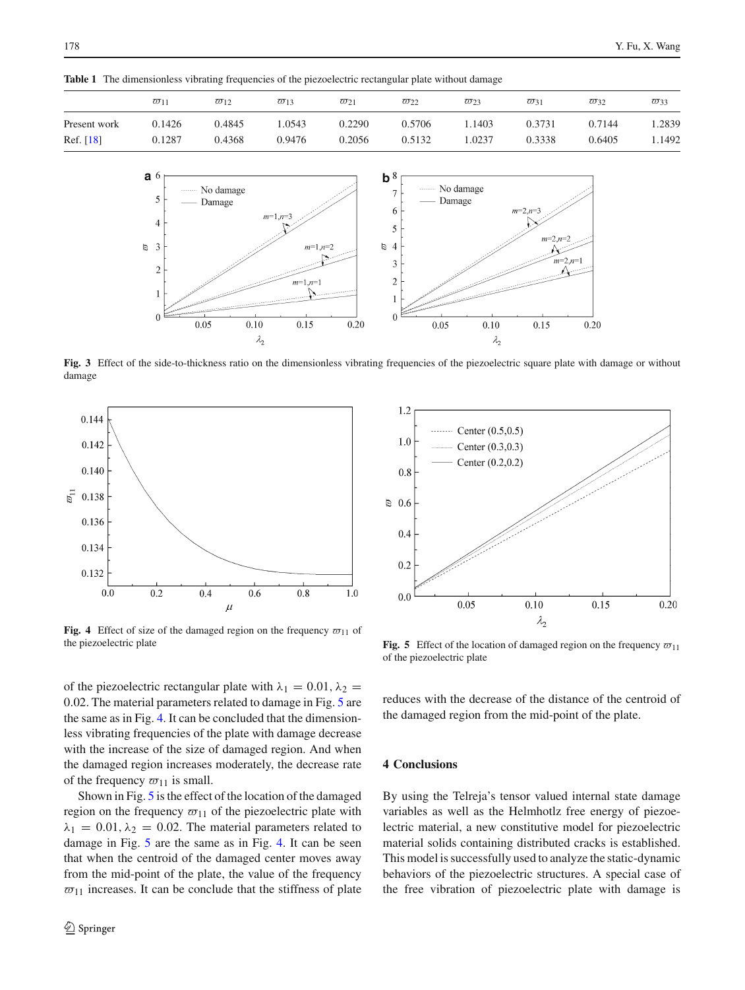**Table 1** The dimensionless vibrating frequencies of the piezoelectric rectangular plate without damage

<span id="page-7-0"></span>

|              | $\varpi_{11}$ | $\overline{\omega}_{12}$ | $\overline{\omega}_{13}$ | $\varpi_{21}$ | $\varpi_{22}$ | $\varpi_{23}$ | $\overline{\omega}_{31}$ | $\overline{\omega}_{32}$ | $\overline{\omega}_{33}$ |
|--------------|---------------|--------------------------|--------------------------|---------------|---------------|---------------|--------------------------|--------------------------|--------------------------|
| Present work | 0.1426        | 0.4845                   | .0543                    | 0.2290        | 0.5706        | .1403         | 0.3731                   | 0.7144                   | .2839                    |
| Ref. $[18]$  | 0.1287        | 0.4368                   | 0.9476                   | 0.2056        | 0.5132        | .0237         | 0.3338                   | 0.6405                   | 1.1492                   |



Fig. 3 Effect of the side-to-thickness ratio on the dimensionless vibrating frequencies of the piezoelectric square plate with damage or without damage

<span id="page-7-1"></span>

<span id="page-7-2"></span>**Fig. 4** Effect of size of the damaged region on the frequency  $\varpi_{11}$  of the piezoelectric plate

 $1.2$ Center  $(0.5, 0.5)$  $1.0$ Center  $(0.3, 0.3)$ Center  $(0.2, 0.2)$ 0.8  $\approx 0.6$  $0.4$  $0.2$  $0.0$  $0.05$  $0.10$  $0.15$  $0.20$  $\lambda_2$ 

<span id="page-7-3"></span>**Fig. 5** Effect of the location of damaged region on the frequency  $\varpi_{11}$ of the piezoelectric plate

of the piezoelectric rectangular plate with  $\lambda_1 = 0.01$ ,  $\lambda_2 =$ 0.02. The material parameters related to damage in Fig. [5](#page-7-3) are the same as in Fig. [4.](#page-7-2) It can be concluded that the dimensionless vibrating frequencies of the plate with damage decrease with the increase of the size of damaged region. And when the damaged region increases moderately, the decrease rate of the frequency  $\varpi_{11}$  is small.

Shown in Fig. [5](#page-7-3) is the effect of the location of the damaged region on the frequency  $\varpi_{11}$  of the piezoelectric plate with  $\lambda_1 = 0.01, \lambda_2 = 0.02$ . The material parameters related to damage in Fig. [5](#page-7-3) are the same as in Fig. [4.](#page-7-2) It can be seen that when the centroid of the damaged center moves away from the mid-point of the plate, the value of the frequency  $\overline{\omega}_{11}$  increases. It can be conclude that the stiffness of plate

reduces with the decrease of the distance of the centroid of the damaged region from the mid-point of the plate.

## **4 Conclusions**

By using the Telreja's tensor valued internal state damage variables as well as the Helmhotlz free energy of piezoelectric material, a new constitutive model for piezoelectric material solids containing distributed cracks is established. This model is successfully used to analyze the static-dynamic behaviors of the piezoelectric structures. A special case of the free vibration of piezoelectric plate with damage is